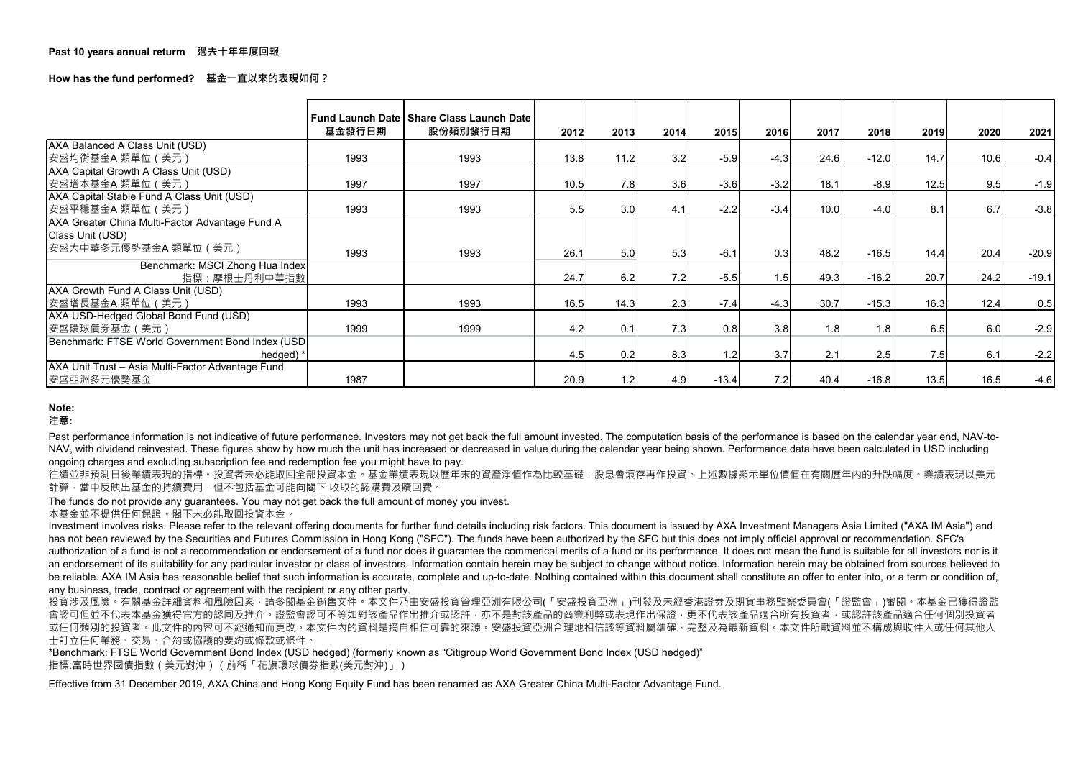**How has the fund performed? 基金一直以來的表現如何?**

|                                                   | 基金發行日期 | Fund Launch Date   Share Class Launch Date<br>股份類別發行日期 | 2012 | 2013 | 2014 | 2015    | <b>2016</b> | 2017 | 2018    | 2019 | 2020 | 2021    |
|---------------------------------------------------|--------|--------------------------------------------------------|------|------|------|---------|-------------|------|---------|------|------|---------|
| <b>AXA Balanced A Class Unit (USD)</b>            |        |                                                        |      |      |      |         |             |      |         |      |      |         |
| │安盛均衡基金A 類單位(美元)                                  | 1993   | 1993                                                   | 13.8 | 11.2 | 3.2  | $-5.9$  | $-4.3$      | 24.6 | $-12.0$ | 14.7 | 10.6 | $-0.4$  |
| AXA Capital Growth A Class Unit (USD)             |        |                                                        |      |      |      |         |             |      |         |      |      |         |
| 安盛增本基金A 類單位(美元)                                   | 1997   | 1997                                                   | 10.5 | 7.8  | 3.6  | $-3.6$  | $-3.2$      | 18.1 | $-8.9$  | 12.5 | 9.5  | $-1.9$  |
| AXA Capital Stable Fund A Class Unit (USD)        |        |                                                        |      |      |      |         |             |      |         |      |      |         |
| 安盛平穩基金A 類單位(美元)                                   | 1993   | 1993                                                   | 5.5  | 3.0  | 4.1  | $-2.2$  | $-3.4$      | 10.0 | $-4.0$  | 8.1  | 6.7  | $-3.8$  |
| AXA Greater China Multi-Factor Advantage Fund A   |        |                                                        |      |      |      |         |             |      |         |      |      |         |
| Class Unit (USD)                                  |        |                                                        |      |      |      |         |             |      |         |      |      |         |
| 【安盛大中華多元優勢基金A 類單位(美元)                             | 1993   | 1993                                                   | 26.1 | 5.0  | 5.3  | $-6.1$  | 0.3         | 48.2 | $-16.5$ | 14.4 | 20.4 | $-20.9$ |
| Benchmark: MSCI Zhong Hua Index                   |        |                                                        |      |      |      |         |             |      |         |      |      |         |
| 指標:摩根士丹利中華指數                                      |        |                                                        | 24.7 | 6.2  | 7.2  | $-5.5$  | 1.5         | 49.3 | $-16.2$ | 20.7 | 24.2 | $-19.1$ |
| AXA Growth Fund A Class Unit (USD)                |        |                                                        |      |      |      |         |             |      |         |      |      |         |
| 安盛增長基金A 類單位 (美元)                                  | 1993   | 1993                                                   | 16.5 | 14.3 | 2.3  | $-7.4$  | $-4.3$      | 30.7 | $-15.3$ | 16.3 | 12.4 | 0.5     |
| AXA USD-Hedged Global Bond Fund (USD)             |        |                                                        |      |      |      |         |             |      |         |      |      |         |
| 安盛環球債券基金 (美元)                                     | 1999   | 1999                                                   | 4.2  | 0.1  | 7.3  | 0.8     | 3.8         | 1.8  | 1.8     | 6.5  | 6.0  | $-2.9$  |
| Benchmark: FTSE World Government Bond Index (USD) |        |                                                        |      |      |      |         |             |      |         |      |      |         |
| hedged) *                                         |        |                                                        | 4.5  | 0.2  | 8.3  | 1.2     | 3.7         | 2.1  | 2.5     | 7.5  | 6.1  | $-2.2$  |
| AXA Unit Trust - Asia Multi-Factor Advantage Fund |        |                                                        |      |      |      |         |             |      |         |      |      |         |
| 安盛亞洲多元優勢基金                                        | 1987   |                                                        | 20.9 |      | 4.9  | $-13.4$ | 7.2         | 40.4 | $-16.8$ | 13.5 | 16.5 | $-4.6$  |

Past performance information is not indicative of future performance. Investors may not get back the full amount invested. The computation basis of the performance is based on the calendar year end, NAV-to-NAV, with dividend reinvested. These figures show by how much the unit has increased or decreased in value during the calendar year being shown. Performance data have been calculated in USD including ongoing charges and excluding subscription fee and redemption fee you might have to pay.

往績並非預測日後業績表現的指標。投資者未必能取回全部投資本金。基金業績表現以歷年末的資產淨值作為比較基礎,股息會滾存再作投資。上述數據顯示單位價值在有關歷年內的升跌幅度。業績表現以美元 計算,當中反映出基金的持續費用,但不包括基金可能向閣下 收取的認購費及贖回費。

## **Note:**

## **注意:**

Effective from 31 December 2019, AXA China and Hong Kong Equity Fund has been renamed as AXA Greater China Multi-Factor Advantage Fund.

投資涉及風險。有關基金詳細資料和風險因素,請參閱基金銷售文件。本文件乃由安盛投資管理亞洲有限公司(「安盛投資亞洲」)刊發及未經香港證券及期貨事務監察委員會(「證監會」)審閱。本基金已獲得證監 會認可但並不代表本基金獲得官方的認同及推介。證監會認可不等如對該產品作出推介或認許,亦不是對該產品的商業利弊或表現作出保證,更不代表該產品適合所有投資者,或認許該產品適合任何個別投資者 或任何類別的投資者。此文件的內容可不經通知而更改。本文件內的資料是摘自相信可靠的來源。安盛投資亞洲合理地相信該等資料屬準確、完整及為最新資料。本文件所載資料並不構成與收件人或任何其他人 士訂立任何業務、交易、合約或協議的要約或條款或條件。

Investment involves risks. Please refer to the relevant offering documents for further fund details including risk factors. This document is issued by AXA Investment Managers Asia Limited ("AXA IM Asia") and has not been reviewed by the Securities and Futures Commission in Hong Kong ("SFC"). The funds have been authorized by the SFC but this does not imply official approval or recommendation. SFC's authorization of a fund is not a recommendation or endorsement of a fund nor does it guarantee the commerical merits of a fund or its performance. It does not mean the fund is suitable for all investors nor is it an endorsement of its suitability for any particular investor or class of investors. Information contain herein may be subject to change without notice. Information herein may be obtained from sources believed to be reliable. AXA IM Asia has reasonable belief that such information is accurate, complete and up-to-date. Nothing contained within this document shall constitute an offer to enter into, or a term or condition of, any business, trade, contract or agreement with the recipient or any other party.

The funds do not provide any guarantees. You may not get back the full amount of money you invest.

本基金並不提供任何保證。閣下未必能取回投資本金。

\*Benchmark: FTSE World Government Bond Index (USD hedged) (formerly known as "Citigroup World Government Bond Index (USD hedged)" 指標:富時世界國債指數(美元對沖)(前稱「花旗環球債券指數(美元對沖)」)